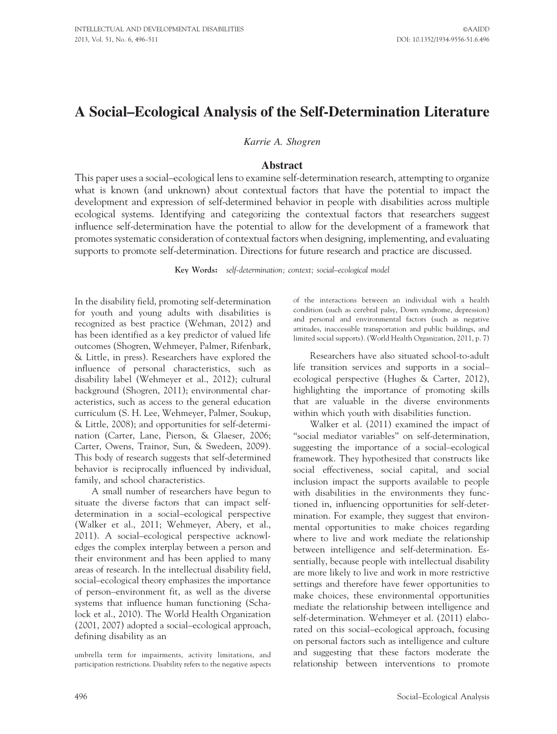# A Social–Ecological Analysis of the Self-Determination Literature

Karrie A. Shogren

#### Abstract

This paper uses a social–ecological lens to examine self-determination research, attempting to organize what is known (and unknown) about contextual factors that have the potential to impact the development and expression of self-determined behavior in people with disabilities across multiple ecological systems. Identifying and categorizing the contextual factors that researchers suggest influence self-determination have the potential to allow for the development of a framework that promotes systematic consideration of contextual factors when designing, implementing, and evaluating supports to promote self-determination. Directions for future research and practice are discussed.

Key Words: self-determination; context; social–ecological model

In the disability field, promoting self-determination for youth and young adults with disabilities is recognized as best practice (Wehman, 2012) and has been identified as a key predictor of valued life outcomes (Shogren, Wehmeyer, Palmer, Rifenbark, & Little, in press). Researchers have explored the influence of personal characteristics, such as disability label (Wehmeyer et al., 2012); cultural background (Shogren, 2011); environmental characteristics, such as access to the general education curriculum (S. H. Lee, Wehmeyer, Palmer, Soukup, & Little, 2008); and opportunities for self-determination (Carter, Lane, Pierson, & Glaeser, 2006; Carter, Owens, Trainor, Sun, & Swedeen, 2009). This body of research suggests that self-determined behavior is reciprocally influenced by individual, family, and school characteristics.

A small number of researchers have begun to situate the diverse factors that can impact selfdetermination in a social–ecological perspective (Walker et al., 2011; Wehmeyer, Abery, et al., 2011). A social–ecological perspective acknowledges the complex interplay between a person and their environment and has been applied to many areas of research. In the intellectual disability field, social–ecological theory emphasizes the importance of person–environment fit, as well as the diverse systems that influence human functioning (Schalock et al., 2010). The World Health Organization (2001, 2007) adopted a social–ecological approach, defining disability as an

umbrella term for impairments, activity limitations, and participation restrictions. Disability refers to the negative aspects of the interactions between an individual with a health condition (such as cerebral palsy, Down syndrome, depression) and personal and environmental factors (such as negative attitudes, inaccessible transportation and public buildings, and limited social supports). (World Health Organization, 2011, p. 7)

Researchers have also situated school-to-adult life transition services and supports in a social– ecological perspective (Hughes & Carter, 2012), highlighting the importance of promoting skills that are valuable in the diverse environments within which youth with disabilities function.

Walker et al. (2011) examined the impact of ''social mediator variables'' on self-determination, suggesting the importance of a social–ecological framework. They hypothesized that constructs like social effectiveness, social capital, and social inclusion impact the supports available to people with disabilities in the environments they functioned in, influencing opportunities for self-determination. For example, they suggest that environmental opportunities to make choices regarding where to live and work mediate the relationship between intelligence and self-determination. Essentially, because people with intellectual disability are more likely to live and work in more restrictive settings and therefore have fewer opportunities to make choices, these environmental opportunities mediate the relationship between intelligence and self-determination. Wehmeyer et al. (2011) elaborated on this social–ecological approach, focusing on personal factors such as intelligence and culture and suggesting that these factors moderate the relationship between interventions to promote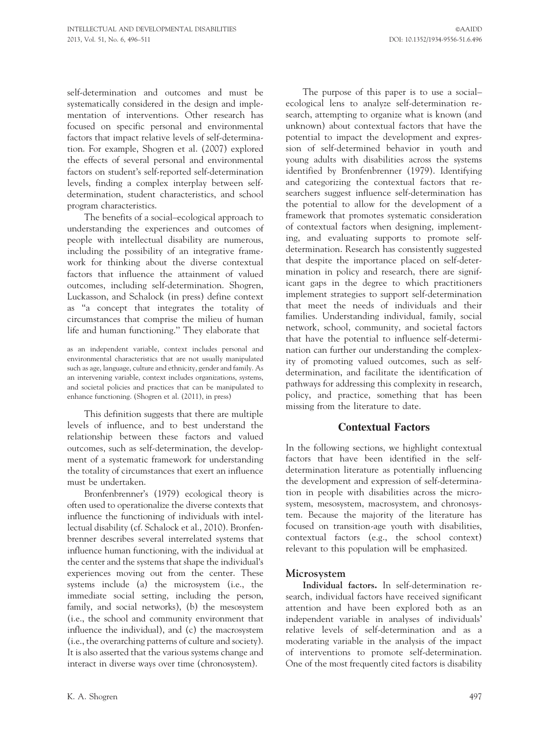self-determination and outcomes and must be systematically considered in the design and implementation of interventions. Other research has focused on specific personal and environmental factors that impact relative levels of self-determination. For example, Shogren et al. (2007) explored the effects of several personal and environmental factors on student's self-reported self-determination levels, finding a complex interplay between selfdetermination, student characteristics, and school program characteristics.

The benefits of a social–ecological approach to understanding the experiences and outcomes of people with intellectual disability are numerous, including the possibility of an integrative framework for thinking about the diverse contextual factors that influence the attainment of valued outcomes, including self-determination. Shogren, Luckasson, and Schalock (in press) define context as ''a concept that integrates the totality of circumstances that comprise the milieu of human life and human functioning.'' They elaborate that

as an independent variable, context includes personal and environmental characteristics that are not usually manipulated such as age, language, culture and ethnicity, gender and family. As an intervening variable, context includes organizations, systems, and societal policies and practices that can be manipulated to enhance functioning. (Shogren et al. (2011), in press)

This definition suggests that there are multiple levels of influence, and to best understand the relationship between these factors and valued outcomes, such as self-determination, the development of a systematic framework for understanding the totality of circumstances that exert an influence must be undertaken.

Bronfenbrenner's (1979) ecological theory is often used to operationalize the diverse contexts that influence the functioning of individuals with intellectual disability (cf. Schalock et al., 2010). Bronfenbrenner describes several interrelated systems that influence human functioning, with the individual at the center and the systems that shape the individual's experiences moving out from the center. These systems include (a) the microsystem (i.e., the immediate social setting, including the person, family, and social networks), (b) the mesosystem (i.e., the school and community environment that influence the individual), and (c) the macrosystem (i.e., the overarching patterns of culture and society). It is also asserted that the various systems change and interact in diverse ways over time (chronosystem).

The purpose of this paper is to use a social– ecological lens to analyze self-determination research, attempting to organize what is known (and unknown) about contextual factors that have the potential to impact the development and expression of self-determined behavior in youth and young adults with disabilities across the systems identified by Bronfenbrenner (1979). Identifying and categorizing the contextual factors that researchers suggest influence self-determination has the potential to allow for the development of a framework that promotes systematic consideration of contextual factors when designing, implementing, and evaluating supports to promote selfdetermination. Research has consistently suggested that despite the importance placed on self-determination in policy and research, there are significant gaps in the degree to which practitioners implement strategies to support self-determination that meet the needs of individuals and their families. Understanding individual, family, social network, school, community, and societal factors that have the potential to influence self-determination can further our understanding the complexity of promoting valued outcomes, such as selfdetermination, and facilitate the identification of pathways for addressing this complexity in research, policy, and practice, something that has been missing from the literature to date.

## Contextual Factors

In the following sections, we highlight contextual factors that have been identified in the selfdetermination literature as potentially influencing the development and expression of self-determination in people with disabilities across the microsystem, mesosystem, macrosystem, and chronosystem. Because the majority of the literature has focused on transition-age youth with disabilities, contextual factors (e.g., the school context) relevant to this population will be emphasized.

## Microsystem

Individual factors. In self-determination research, individual factors have received significant attention and have been explored both as an independent variable in analyses of individuals' relative levels of self-determination and as a moderating variable in the analysis of the impact of interventions to promote self-determination. One of the most frequently cited factors is disability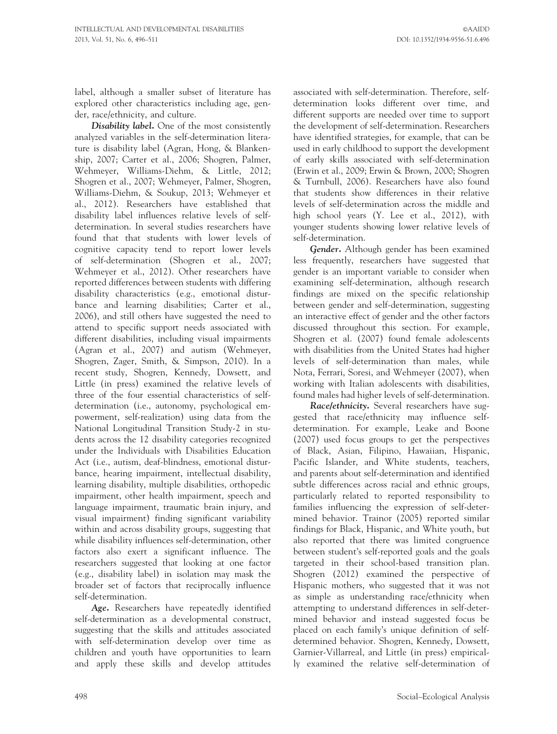label, although a smaller subset of literature has explored other characteristics including age, gender, race/ethnicity, and culture.

Disability label. One of the most consistently analyzed variables in the self-determination literature is disability label (Agran, Hong, & Blankenship, 2007; Carter et al., 2006; Shogren, Palmer, Wehmeyer, Williams-Diehm, & Little, 2012; Shogren et al., 2007; Wehmeyer, Palmer, Shogren, Williams-Diehm, & Soukup, 2013; Wehmeyer et al., 2012). Researchers have established that disability label influences relative levels of selfdetermination. In several studies researchers have found that that students with lower levels of cognitive capacity tend to report lower levels of self-determination (Shogren et al., 2007; Wehmeyer et al., 2012). Other researchers have reported differences between students with differing disability characteristics (e.g., emotional disturbance and learning disabilities; Carter et al., 2006), and still others have suggested the need to attend to specific support needs associated with different disabilities, including visual impairments (Agran et al., 2007) and autism (Wehmeyer, Shogren, Zager, Smith, & Simpson, 2010). In a recent study, Shogren, Kennedy, Dowsett, and Little (in press) examined the relative levels of three of the four essential characteristics of selfdetermination (i.e., autonomy, psychological empowerment, self-realization) using data from the National Longitudinal Transition Study-2 in students across the 12 disability categories recognized under the Individuals with Disabilities Education Act (i.e., autism, deaf-blindness, emotional disturbance, hearing impairment, intellectual disability, learning disability, multiple disabilities, orthopedic impairment, other health impairment, speech and language impairment, traumatic brain injury, and visual impairment) finding significant variability within and across disability groups, suggesting that while disability influences self-determination, other factors also exert a significant influence. The researchers suggested that looking at one factor (e.g., disability label) in isolation may mask the broader set of factors that reciprocally influence self-determination.

Age. Researchers have repeatedly identified self-determination as a developmental construct, suggesting that the skills and attitudes associated with self-determination develop over time as children and youth have opportunities to learn and apply these skills and develop attitudes associated with self-determination. Therefore, selfdetermination looks different over time, and different supports are needed over time to support the development of self-determination. Researchers have identified strategies, for example, that can be used in early childhood to support the development of early skills associated with self-determination (Erwin et al., 2009; Erwin & Brown, 2000; Shogren & Turnbull, 2006). Researchers have also found that students show differences in their relative levels of self-determination across the middle and high school years (Y. Lee et al., 2012), with younger students showing lower relative levels of self-determination.

Gender. Although gender has been examined less frequently, researchers have suggested that gender is an important variable to consider when examining self-determination, although research findings are mixed on the specific relationship between gender and self-determination, suggesting an interactive effect of gender and the other factors discussed throughout this section. For example, Shogren et al. (2007) found female adolescents with disabilities from the United States had higher levels of self-determination than males, while Nota, Ferrari, Soresi, and Wehmeyer (2007), when working with Italian adolescents with disabilities, found males had higher levels of self-determination.

Race/ethnicity. Several researchers have suggested that race/ethnicity may influence selfdetermination. For example, Leake and Boone (2007) used focus groups to get the perspectives of Black, Asian, Filipino, Hawaiian, Hispanic, Pacific Islander, and White students, teachers, and parents about self-determination and identified subtle differences across racial and ethnic groups, particularly related to reported responsibility to families influencing the expression of self-determined behavior. Trainor (2005) reported similar findings for Black, Hispanic, and White youth, but also reported that there was limited congruence between student's self-reported goals and the goals targeted in their school-based transition plan. Shogren (2012) examined the perspective of Hispanic mothers, who suggested that it was not as simple as understanding race/ethnicity when attempting to understand differences in self-determined behavior and instead suggested focus be placed on each family's unique definition of selfdetermined behavior. Shogren, Kennedy, Dowsett, Garnier-Villarreal, and Little (in press) empirically examined the relative self-determination of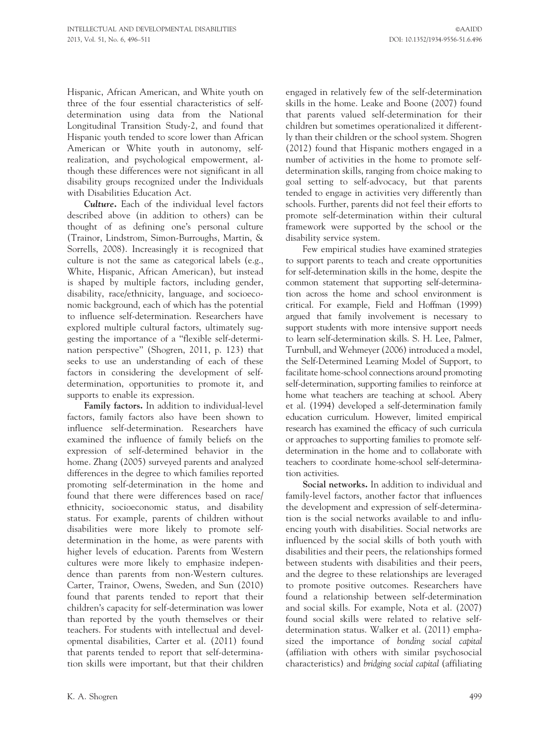Hispanic, African American, and White youth on three of the four essential characteristics of selfdetermination using data from the National Longitudinal Transition Study-2, and found that Hispanic youth tended to score lower than African American or White youth in autonomy, selfrealization, and psychological empowerment, although these differences were not significant in all disability groups recognized under the Individuals with Disabilities Education Act.

Culture. Each of the individual level factors described above (in addition to others) can be thought of as defining one's personal culture (Trainor, Lindstrom, Simon-Burroughs, Martin, & Sorrells, 2008). Increasingly it is recognized that culture is not the same as categorical labels (e.g., White, Hispanic, African American), but instead is shaped by multiple factors, including gender, disability, race/ethnicity, language, and socioeconomic background, each of which has the potential to influence self-determination. Researchers have explored multiple cultural factors, ultimately suggesting the importance of a ''flexible self-determination perspective'' (Shogren, 2011, p. 123) that seeks to use an understanding of each of these factors in considering the development of selfdetermination, opportunities to promote it, and supports to enable its expression.

Family factors. In addition to individual-level factors, family factors also have been shown to influence self-determination. Researchers have examined the influence of family beliefs on the expression of self-determined behavior in the home. Zhang (2005) surveyed parents and analyzed differences in the degree to which families reported promoting self-determination in the home and found that there were differences based on race/ ethnicity, socioeconomic status, and disability status. For example, parents of children without disabilities were more likely to promote selfdetermination in the home, as were parents with higher levels of education. Parents from Western cultures were more likely to emphasize independence than parents from non-Western cultures. Carter, Trainor, Owens, Sweden, and Sun (2010) found that parents tended to report that their children's capacity for self-determination was lower than reported by the youth themselves or their teachers. For students with intellectual and developmental disabilities, Carter et al. (2011) found that parents tended to report that self-determination skills were important, but that their children

engaged in relatively few of the self-determination skills in the home. Leake and Boone (2007) found that parents valued self-determination for their children but sometimes operationalized it differently than their children or the school system. Shogren (2012) found that Hispanic mothers engaged in a number of activities in the home to promote selfdetermination skills, ranging from choice making to goal setting to self-advocacy, but that parents tended to engage in activities very differently than schools. Further, parents did not feel their efforts to promote self-determination within their cultural framework were supported by the school or the disability service system.

Few empirical studies have examined strategies to support parents to teach and create opportunities for self-determination skills in the home, despite the common statement that supporting self-determination across the home and school environment is critical. For example, Field and Hoffman (1999) argued that family involvement is necessary to support students with more intensive support needs to learn self-determination skills. S. H. Lee, Palmer, Turnbull, and Wehmeyer (2006) introduced a model, the Self-Determined Learning Model of Support, to facilitate home-school connections around promoting self-determination, supporting families to reinforce at home what teachers are teaching at school. Abery et al. (1994) developed a self-determination family education curriculum. However, limited empirical research has examined the efficacy of such curricula or approaches to supporting families to promote selfdetermination in the home and to collaborate with teachers to coordinate home-school self-determination activities.

Social networks. In addition to individual and family-level factors, another factor that influences the development and expression of self-determination is the social networks available to and influencing youth with disabilities. Social networks are influenced by the social skills of both youth with disabilities and their peers, the relationships formed between students with disabilities and their peers, and the degree to these relationships are leveraged to promote positive outcomes. Researchers have found a relationship between self-determination and social skills. For example, Nota et al. (2007) found social skills were related to relative selfdetermination status. Walker et al. (2011) emphasized the importance of bonding social capital (affiliation with others with similar psychosocial characteristics) and bridging social capital (affiliating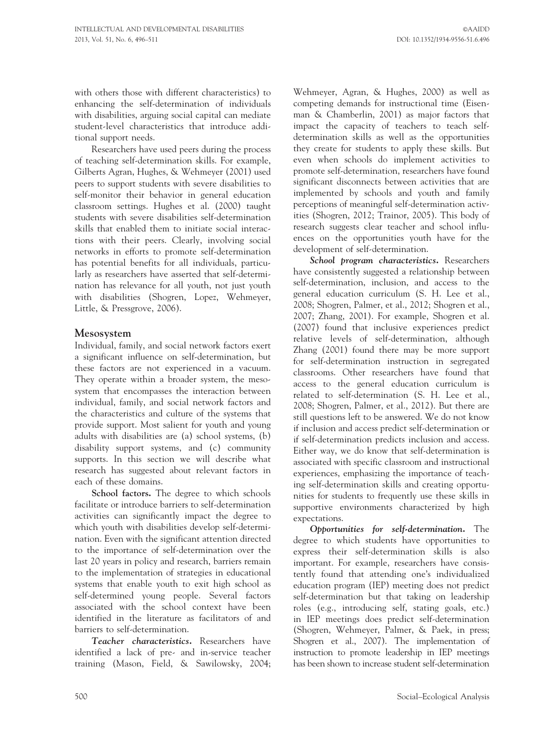with others those with different characteristics) to enhancing the self-determination of individuals with disabilities, arguing social capital can mediate student-level characteristics that introduce additional support needs.

Researchers have used peers during the process of teaching self-determination skills. For example, Gilberts Agran, Hughes, & Wehmeyer (2001) used peers to support students with severe disabilities to self-monitor their behavior in general education classroom settings. Hughes et al. (2000) taught students with severe disabilities self-determination skills that enabled them to initiate social interactions with their peers. Clearly, involving social networks in efforts to promote self-determination has potential benefits for all individuals, particularly as researchers have asserted that self-determination has relevance for all youth, not just youth with disabilities (Shogren, Lopez, Wehmeyer, Little, & Pressgrove, 2006).

## Mesosystem

Individual, family, and social network factors exert a significant influence on self-determination, but these factors are not experienced in a vacuum. They operate within a broader system, the mesosystem that encompasses the interaction between individual, family, and social network factors and the characteristics and culture of the systems that provide support. Most salient for youth and young adults with disabilities are (a) school systems, (b) disability support systems, and (c) community supports. In this section we will describe what research has suggested about relevant factors in each of these domains.

School factors. The degree to which schools facilitate or introduce barriers to self-determination activities can significantly impact the degree to which youth with disabilities develop self-determination. Even with the significant attention directed to the importance of self-determination over the last 20 years in policy and research, barriers remain to the implementation of strategies in educational systems that enable youth to exit high school as self-determined young people. Several factors associated with the school context have been identified in the literature as facilitators of and barriers to self-determination.

Teacher characteristics. Researchers have identified a lack of pre- and in-service teacher training (Mason, Field, & Sawilowsky, 2004; Wehmeyer, Agran, & Hughes, 2000) as well as competing demands for instructional time (Eisenman & Chamberlin, 2001) as major factors that impact the capacity of teachers to teach selfdetermination skills as well as the opportunities they create for students to apply these skills. But even when schools do implement activities to promote self-determination, researchers have found significant disconnects between activities that are implemented by schools and youth and family perceptions of meaningful self-determination activities (Shogren, 2012; Trainor, 2005). This body of research suggests clear teacher and school influences on the opportunities youth have for the development of self-determination.

School program characteristics. Researchers have consistently suggested a relationship between self-determination, inclusion, and access to the general education curriculum (S. H. Lee et al., 2008; Shogren, Palmer, et al., 2012; Shogren et al., 2007; Zhang, 2001). For example, Shogren et al. (2007) found that inclusive experiences predict relative levels of self-determination, although Zhang (2001) found there may be more support for self-determination instruction in segregated classrooms. Other researchers have found that access to the general education curriculum is related to self-determination (S. H. Lee et al., 2008; Shogren, Palmer, et al., 2012). But there are still questions left to be answered. We do not know if inclusion and access predict self-determination or if self-determination predicts inclusion and access. Either way, we do know that self-determination is associated with specific classroom and instructional experiences, emphasizing the importance of teaching self-determination skills and creating opportunities for students to frequently use these skills in supportive environments characterized by high expectations.

Opportunities for self-determination. The degree to which students have opportunities to express their self-determination skills is also important. For example, researchers have consistently found that attending one's individualized education program (IEP) meeting does not predict self-determination but that taking on leadership roles (e.g., introducing self, stating goals, etc.) in IEP meetings does predict self-determination (Shogren, Wehmeyer, Palmer, & Paek, in press; Shogren et al., 2007). The implementation of instruction to promote leadership in IEP meetings has been shown to increase student self-determination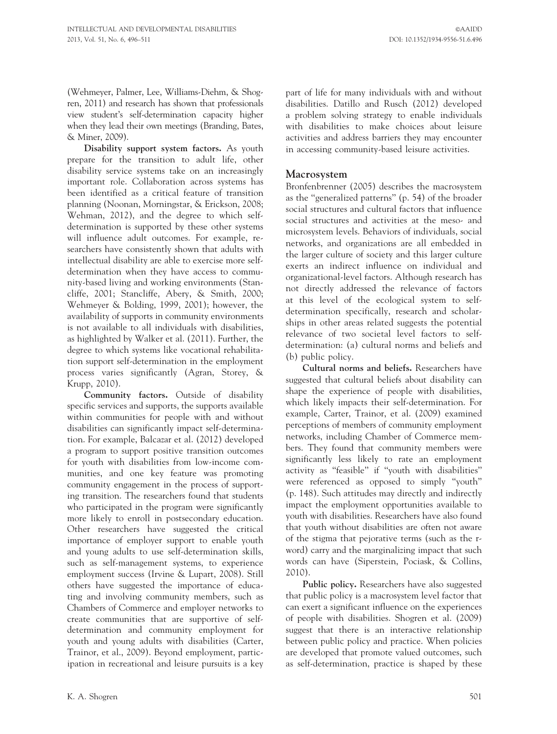(Wehmeyer, Palmer, Lee, Williams-Diehm, & Shogren, 2011) and research has shown that professionals view student's self-determination capacity higher when they lead their own meetings (Branding, Bates, & Miner, 2009).

Disability support system factors. As youth prepare for the transition to adult life, other disability service systems take on an increasingly important role. Collaboration across systems has been identified as a critical feature of transition planning (Noonan, Morningstar, & Erickson, 2008; Wehman, 2012), and the degree to which selfdetermination is supported by these other systems will influence adult outcomes. For example, researchers have consistently shown that adults with intellectual disability are able to exercise more selfdetermination when they have access to community-based living and working environments (Stancliffe, 2001; Stancliffe, Abery, & Smith, 2000; Wehmeyer & Bolding, 1999, 2001); however, the availability of supports in community environments is not available to all individuals with disabilities, as highlighted by Walker et al. (2011). Further, the degree to which systems like vocational rehabilitation support self-determination in the employment process varies significantly (Agran, Storey, & Krupp, 2010).

Community factors. Outside of disability specific services and supports, the supports available within communities for people with and without disabilities can significantly impact self-determination. For example, Balcazar et al. (2012) developed a program to support positive transition outcomes for youth with disabilities from low-income communities, and one key feature was promoting community engagement in the process of supporting transition. The researchers found that students who participated in the program were significantly more likely to enroll in postsecondary education. Other researchers have suggested the critical importance of employer support to enable youth and young adults to use self-determination skills, such as self-management systems, to experience employment success (Irvine & Lupart, 2008). Still others have suggested the importance of educating and involving community members, such as Chambers of Commerce and employer networks to create communities that are supportive of selfdetermination and community employment for youth and young adults with disabilities (Carter, Trainor, et al., 2009). Beyond employment, participation in recreational and leisure pursuits is a key part of life for many individuals with and without disabilities. Datillo and Rusch (2012) developed a problem solving strategy to enable individuals with disabilities to make choices about leisure activities and address barriers they may encounter in accessing community-based leisure activities.

#### Macrosystem

Bronfenbrenner (2005) describes the macrosystem as the ''generalized patterns'' (p. 54) of the broader social structures and cultural factors that influence social structures and activities at the meso- and microsystem levels. Behaviors of individuals, social networks, and organizations are all embedded in the larger culture of society and this larger culture exerts an indirect influence on individual and organizational-level factors. Although research has not directly addressed the relevance of factors at this level of the ecological system to selfdetermination specifically, research and scholarships in other areas related suggests the potential relevance of two societal level factors to selfdetermination: (a) cultural norms and beliefs and (b) public policy.

Cultural norms and beliefs. Researchers have suggested that cultural beliefs about disability can shape the experience of people with disabilities, which likely impacts their self-determination. For example, Carter, Trainor, et al. (2009) examined perceptions of members of community employment networks, including Chamber of Commerce members. They found that community members were significantly less likely to rate an employment activity as ''feasible'' if ''youth with disabilities'' were referenced as opposed to simply ''youth'' (p. 148). Such attitudes may directly and indirectly impact the employment opportunities available to youth with disabilities. Researchers have also found that youth without disabilities are often not aware of the stigma that pejorative terms (such as the rword) carry and the marginalizing impact that such words can have (Siperstein, Pociask, & Collins, 2010).

Public policy. Researchers have also suggested that public policy is a macrosystem level factor that can exert a significant influence on the experiences of people with disabilities. Shogren et al. (2009) suggest that there is an interactive relationship between public policy and practice. When policies are developed that promote valued outcomes, such as self-determination, practice is shaped by these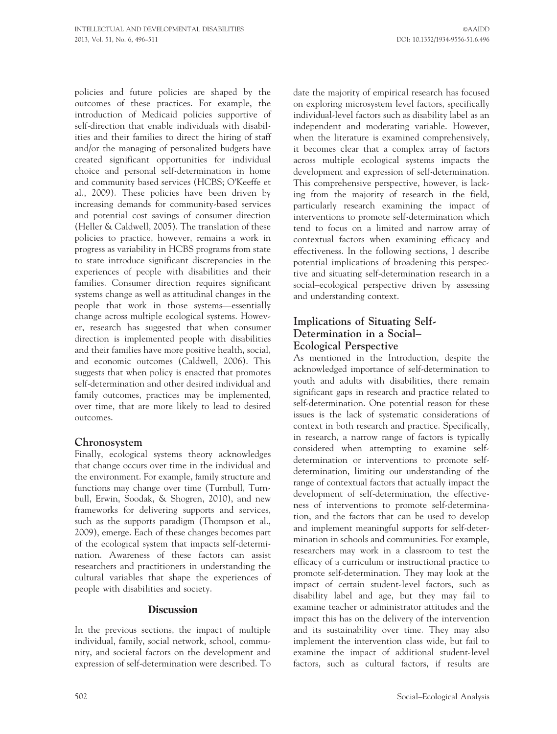policies and future policies are shaped by the outcomes of these practices. For example, the introduction of Medicaid policies supportive of self-direction that enable individuals with disabilities and their families to direct the hiring of staff and/or the managing of personalized budgets have created significant opportunities for individual choice and personal self-determination in home and community based services (HCBS; O'Keeffe et al., 2009). These policies have been driven by increasing demands for community-based services and potential cost savings of consumer direction (Heller & Caldwell, 2005). The translation of these policies to practice, however, remains a work in progress as variability in HCBS programs from state to state introduce significant discrepancies in the experiences of people with disabilities and their families. Consumer direction requires significant systems change as well as attitudinal changes in the people that work in those systems—essentially change across multiple ecological systems. However, research has suggested that when consumer direction is implemented people with disabilities and their families have more positive health, social, and economic outcomes (Caldwell, 2006). This suggests that when policy is enacted that promotes self-determination and other desired individual and family outcomes, practices may be implemented, over time, that are more likely to lead to desired outcomes.

# Chronosystem

Finally, ecological systems theory acknowledges that change occurs over time in the individual and the environment. For example, family structure and functions may change over time (Turnbull, Turnbull, Erwin, Soodak, & Shogren, 2010), and new frameworks for delivering supports and services, such as the supports paradigm (Thompson et al., 2009), emerge. Each of these changes becomes part of the ecological system that impacts self-determination. Awareness of these factors can assist researchers and practitioners in understanding the cultural variables that shape the experiences of people with disabilities and society.

## **Discussion**

In the previous sections, the impact of multiple individual, family, social network, school, community, and societal factors on the development and expression of self-determination were described. To date the majority of empirical research has focused on exploring microsystem level factors, specifically individual-level factors such as disability label as an independent and moderating variable. However, when the literature is examined comprehensively, it becomes clear that a complex array of factors across multiple ecological systems impacts the development and expression of self-determination. This comprehensive perspective, however, is lacking from the majority of research in the field, particularly research examining the impact of interventions to promote self-determination which tend to focus on a limited and narrow array of contextual factors when examining efficacy and effectiveness. In the following sections, I describe potential implications of broadening this perspective and situating self-determination research in a social–ecological perspective driven by assessing and understanding context.

## Implications of Situating Self-Determination in a Social– Ecological Perspective

As mentioned in the Introduction, despite the acknowledged importance of self-determination to youth and adults with disabilities, there remain significant gaps in research and practice related to self-determination. One potential reason for these issues is the lack of systematic considerations of context in both research and practice. Specifically, in research, a narrow range of factors is typically considered when attempting to examine selfdetermination or interventions to promote selfdetermination, limiting our understanding of the range of contextual factors that actually impact the development of self-determination, the effectiveness of interventions to promote self-determination, and the factors that can be used to develop and implement meaningful supports for self-determination in schools and communities. For example, researchers may work in a classroom to test the efficacy of a curriculum or instructional practice to promote self-determination. They may look at the impact of certain student-level factors, such as disability label and age, but they may fail to examine teacher or administrator attitudes and the impact this has on the delivery of the intervention and its sustainability over time. They may also implement the intervention class wide, but fail to examine the impact of additional student-level factors, such as cultural factors, if results are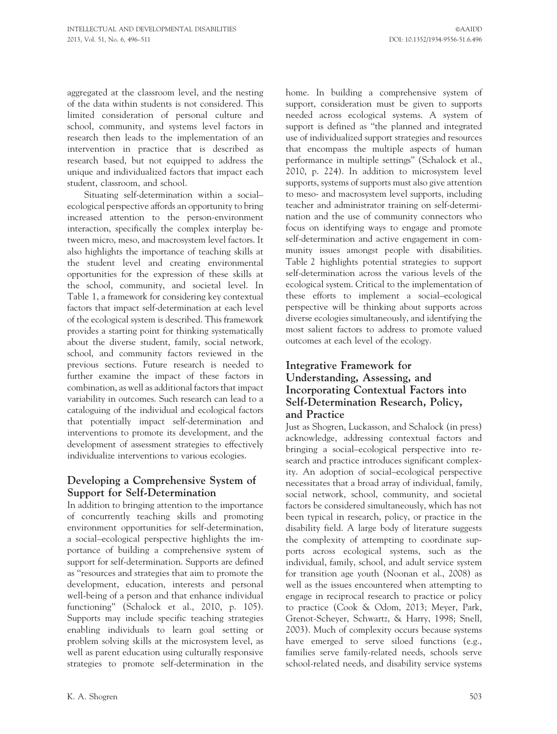aggregated at the classroom level, and the nesting of the data within students is not considered. This limited consideration of personal culture and school, community, and systems level factors in research then leads to the implementation of an intervention in practice that is described as research based, but not equipped to address the unique and individualized factors that impact each student, classroom, and school.

Situating self-determination within a social– ecological perspective affords an opportunity to bring increased attention to the person-environment interaction, specifically the complex interplay between micro, meso, and macrosystem level factors. It also highlights the importance of teaching skills at the student level and creating environmental opportunities for the expression of these skills at the school, community, and societal level. In Table 1, a framework for considering key contextual factors that impact self-determination at each level of the ecological system is described. This framework provides a starting point for thinking systematically about the diverse student, family, social network, school, and community factors reviewed in the previous sections. Future research is needed to further examine the impact of these factors in combination, as well as additional factors that impact variability in outcomes. Such research can lead to a cataloguing of the individual and ecological factors that potentially impact self-determination and interventions to promote its development, and the development of assessment strategies to effectively individualize interventions to various ecologies.

# Developing a Comprehensive System of Support for Self-Determination

In addition to bringing attention to the importance of concurrently teaching skills and promoting environment opportunities for self-determination, a social–ecological perspective highlights the importance of building a comprehensive system of support for self-determination. Supports are defined as ''resources and strategies that aim to promote the development, education, interests and personal well-being of a person and that enhance individual functioning'' (Schalock et al., 2010, p. 105). Supports may include specific teaching strategies enabling individuals to learn goal setting or problem solving skills at the microsystem level, as well as parent education using culturally responsive strategies to promote self-determination in the

home. In building a comprehensive system of support, consideration must be given to supports needed across ecological systems. A system of support is defined as ''the planned and integrated use of individualized support strategies and resources that encompass the multiple aspects of human performance in multiple settings'' (Schalock et al., 2010, p. 224). In addition to microsystem level supports, systems of supports must also give attention to meso- and macrosystem level supports, including teacher and administrator training on self-determination and the use of community connectors who focus on identifying ways to engage and promote self-determination and active engagement in community issues amongst people with disabilities. Table 2 highlights potential strategies to support self-determination across the various levels of the ecological system. Critical to the implementation of these efforts to implement a social–ecological perspective will be thinking about supports across diverse ecologies simultaneously, and identifying the most salient factors to address to promote valued outcomes at each level of the ecology.

## Integrative Framework for Understanding, Assessing, and Incorporating Contextual Factors into Self-Determination Research, Policy, and Practice

Just as Shogren, Luckasson, and Schalock (in press) acknowledge, addressing contextual factors and bringing a social–ecological perspective into research and practice introduces significant complexity. An adoption of social–ecological perspective necessitates that a broad array of individual, family, social network, school, community, and societal factors be considered simultaneously, which has not been typical in research, policy, or practice in the disability field. A large body of literature suggests the complexity of attempting to coordinate supports across ecological systems, such as the individual, family, school, and adult service system for transition age youth (Noonan et al., 2008) as well as the issues encountered when attempting to engage in reciprocal research to practice or policy to practice (Cook & Odom, 2013; Meyer, Park, Grenot-Scheyer, Schwartz, & Harry, 1998; Snell, 2003). Much of complexity occurs because systems have emerged to serve siloed functions (e.g., families serve family-related needs, schools serve school-related needs, and disability service systems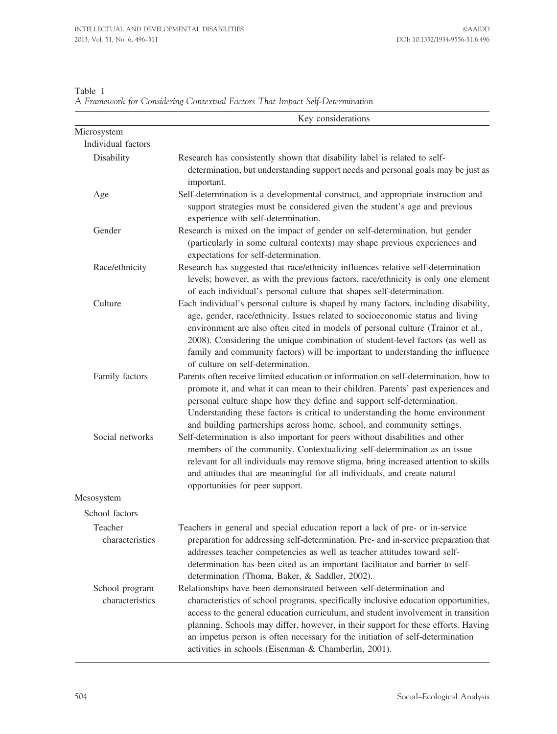|                                   | Key considerations                                                                                                                                                                                                                                                                                                                                                                                                                                                            |
|-----------------------------------|-------------------------------------------------------------------------------------------------------------------------------------------------------------------------------------------------------------------------------------------------------------------------------------------------------------------------------------------------------------------------------------------------------------------------------------------------------------------------------|
| Microsystem                       |                                                                                                                                                                                                                                                                                                                                                                                                                                                                               |
| Individual factors                |                                                                                                                                                                                                                                                                                                                                                                                                                                                                               |
| Disability                        | Research has consistently shown that disability label is related to self-<br>determination, but understanding support needs and personal goals may be just as<br>important.                                                                                                                                                                                                                                                                                                   |
| Age                               | Self-determination is a developmental construct, and appropriate instruction and<br>support strategies must be considered given the student's age and previous<br>experience with self-determination.                                                                                                                                                                                                                                                                         |
| Gender                            | Research is mixed on the impact of gender on self-determination, but gender<br>(particularly in some cultural contexts) may shape previous experiences and<br>expectations for self-determination.                                                                                                                                                                                                                                                                            |
| Race/ethnicity                    | Research has suggested that race/ethnicity influences relative self-determination<br>levels; however, as with the previous factors, race/ethnicity is only one element<br>of each individual's personal culture that shapes self-determination.                                                                                                                                                                                                                               |
| Culture                           | Each individual's personal culture is shaped by many factors, including disability,<br>age, gender, race/ethnicity. Issues related to socioeconomic status and living<br>environment are also often cited in models of personal culture (Trainor et al.,<br>2008). Considering the unique combination of student-level factors (as well as<br>family and community factors) will be important to understanding the influence<br>of culture on self-determination.             |
| Family factors                    | Parents often receive limited education or information on self-determination, how to<br>promote it, and what it can mean to their children. Parents' past experiences and<br>personal culture shape how they define and support self-determination.<br>Understanding these factors is critical to understanding the home environment<br>and building partnerships across home, school, and community settings.                                                                |
| Social networks                   | Self-determination is also important for peers without disabilities and other<br>members of the community. Contextualizing self-determination as an issue<br>relevant for all individuals may remove stigma, bring increased attention to skills<br>and attitudes that are meaningful for all individuals, and create natural<br>opportunities for peer support.                                                                                                              |
| Mesosystem                        |                                                                                                                                                                                                                                                                                                                                                                                                                                                                               |
| School factors                    |                                                                                                                                                                                                                                                                                                                                                                                                                                                                               |
| <b>Teacher</b><br>characteristics | Teachers in general and special education report a lack of pre- or in-service<br>preparation for addressing self-determination. Pre- and in-service preparation that<br>addresses teacher competencies as well as teacher attitudes toward self-<br>determination has been cited as an important facilitator and barrier to self-<br>determination (Thoma, Baker, & Saddler, 2002).                                                                                           |
| School program<br>characteristics | Relationships have been demonstrated between self-determination and<br>characteristics of school programs, specifically inclusive education opportunities,<br>access to the general education curriculum, and student involvement in transition<br>planning. Schools may differ, however, in their support for these efforts. Having<br>an impetus person is often necessary for the initiation of self-determination<br>activities in schools (Eisenman & Chamberlin, 2001). |

Table 1 A Framework for Considering Contextual Factors That Impact Self-Determination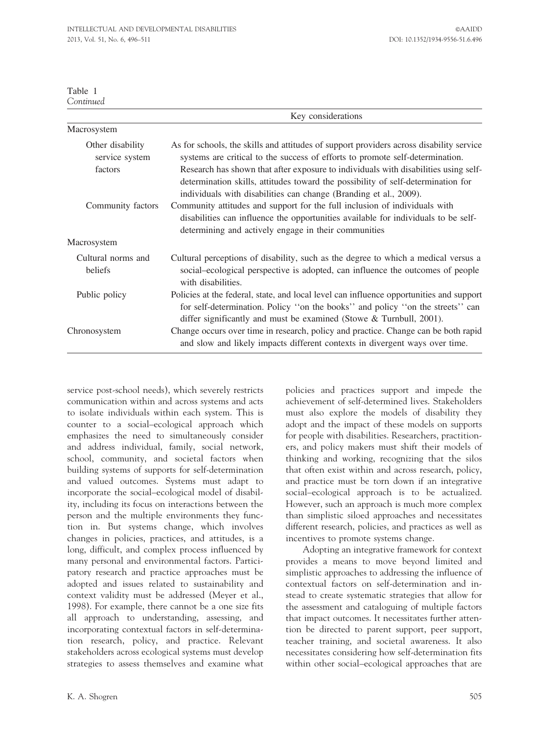| Table     |  |
|-----------|--|
| `ontinued |  |

|                                               | Key considerations                                                                                                                                                                                                                                                                                                                                                                                                       |
|-----------------------------------------------|--------------------------------------------------------------------------------------------------------------------------------------------------------------------------------------------------------------------------------------------------------------------------------------------------------------------------------------------------------------------------------------------------------------------------|
| Macrosystem                                   |                                                                                                                                                                                                                                                                                                                                                                                                                          |
| Other disability<br>service system<br>factors | As for schools, the skills and attitudes of support providers across disability service<br>systems are critical to the success of efforts to promote self-determination.<br>Research has shown that after exposure to individuals with disabilities using self-<br>determination skills, attitudes toward the possibility of self-determination for<br>individuals with disabilities can change (Branding et al., 2009). |
| Community factors                             | Community attitudes and support for the full inclusion of individuals with<br>disabilities can influence the opportunities available for individuals to be self-<br>determining and actively engage in their communities                                                                                                                                                                                                 |
| Macrosystem                                   |                                                                                                                                                                                                                                                                                                                                                                                                                          |
| Cultural norms and<br>beliefs                 | Cultural perceptions of disability, such as the degree to which a medical versus a<br>social-ecological perspective is adopted, can influence the outcomes of people<br>with disabilities.                                                                                                                                                                                                                               |
| Public policy                                 | Policies at the federal, state, and local level can influence opportunities and support<br>for self-determination. Policy "on the books" and policy "on the streets" can<br>differ significantly and must be examined (Stowe & Turnbull, 2001).                                                                                                                                                                          |
| Chronosystem                                  | Change occurs over time in research, policy and practice. Change can be both rapid<br>and slow and likely impacts different contexts in divergent ways over time.                                                                                                                                                                                                                                                        |

service post-school needs), which severely restricts communication within and across systems and acts to isolate individuals within each system. This is counter to a social–ecological approach which emphasizes the need to simultaneously consider and address individual, family, social network, school, community, and societal factors when building systems of supports for self-determination and valued outcomes. Systems must adapt to incorporate the social–ecological model of disability, including its focus on interactions between the person and the multiple environments they function in. But systems change, which involves changes in policies, practices, and attitudes, is a long, difficult, and complex process influenced by many personal and environmental factors. Participatory research and practice approaches must be adopted and issues related to sustainability and context validity must be addressed (Meyer et al., 1998). For example, there cannot be a one size fits all approach to understanding, assessing, and incorporating contextual factors in self-determination research, policy, and practice. Relevant stakeholders across ecological systems must develop strategies to assess themselves and examine what

policies and practices support and impede the achievement of self-determined lives. Stakeholders must also explore the models of disability they adopt and the impact of these models on supports for people with disabilities. Researchers, practitioners, and policy makers must shift their models of thinking and working, recognizing that the silos that often exist within and across research, policy, and practice must be torn down if an integrative social–ecological approach is to be actualized. However, such an approach is much more complex than simplistic siloed approaches and necessitates different research, policies, and practices as well as incentives to promote systems change.

Adopting an integrative framework for context provides a means to move beyond limited and simplistic approaches to addressing the influence of contextual factors on self-determination and instead to create systematic strategies that allow for the assessment and cataloguing of multiple factors that impact outcomes. It necessitates further attention be directed to parent support, peer support, teacher training, and societal awareness. It also necessitates considering how self-determination fits within other social–ecological approaches that are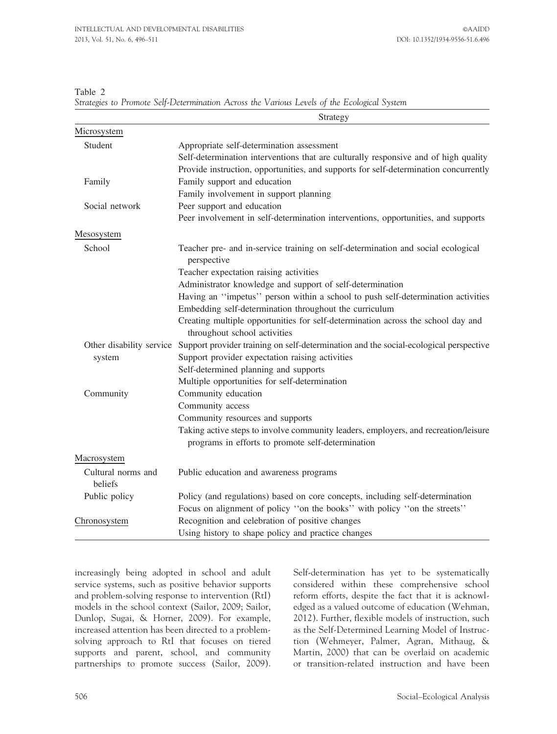Table 2

|  | Strategies to Promote Self-Determination Across the Various Levels of the Ecological System |  |  |  |  |
|--|---------------------------------------------------------------------------------------------|--|--|--|--|
|  |                                                                                             |  |  |  |  |

|                               | Strategy                                                                                                         |
|-------------------------------|------------------------------------------------------------------------------------------------------------------|
| Microsystem                   |                                                                                                                  |
| Student                       | Appropriate self-determination assessment                                                                        |
|                               | Self-determination interventions that are culturally responsive and of high quality                              |
|                               | Provide instruction, opportunities, and supports for self-determination concurrently                             |
| Family                        | Family support and education                                                                                     |
|                               | Family involvement in support planning                                                                           |
| Social network                | Peer support and education                                                                                       |
|                               | Peer involvement in self-determination interventions, opportunities, and supports                                |
| Mesosystem                    |                                                                                                                  |
| School                        | Teacher pre- and in-service training on self-determination and social ecological<br>perspective                  |
|                               | Teacher expectation raising activities                                                                           |
|                               | Administrator knowledge and support of self-determination                                                        |
|                               | Having an "impetus" person within a school to push self-determination activities                                 |
|                               | Embedding self-determination throughout the curriculum                                                           |
|                               | Creating multiple opportunities for self-determination across the school day and<br>throughout school activities |
| Other disability service      | Support provider training on self-determination and the social-ecological perspective                            |
| system                        | Support provider expectation raising activities                                                                  |
|                               | Self-determined planning and supports                                                                            |
|                               | Multiple opportunities for self-determination                                                                    |
| Community                     | Community education                                                                                              |
|                               | Community access                                                                                                 |
|                               | Community resources and supports                                                                                 |
|                               | Taking active steps to involve community leaders, employers, and recreation/leisure                              |
|                               | programs in efforts to promote self-determination                                                                |
| Macrosystem                   |                                                                                                                  |
| Cultural norms and<br>heliefs | Public education and awareness programs                                                                          |
| Public policy                 | Policy (and regulations) based on core concepts, including self-determination                                    |
|                               | Focus on alignment of policy "on the books" with policy "on the streets"                                         |
| Chronosystem                  | Recognition and celebration of positive changes                                                                  |
|                               | Using history to shape policy and practice changes                                                               |

increasingly being adopted in school and adult service systems, such as positive behavior supports and problem-solving response to intervention (RtI) models in the school context (Sailor, 2009; Sailor, Dunlop, Sugai, & Horner, 2009). For example, increased attention has been directed to a problemsolving approach to RtI that focuses on tiered supports and parent, school, and community partnerships to promote success (Sailor, 2009). Self-determination has yet to be systematically considered within these comprehensive school reform efforts, despite the fact that it is acknowledged as a valued outcome of education (Wehman, 2012). Further, flexible models of instruction, such as the Self-Determined Learning Model of Instruction (Wehmeyer, Palmer, Agran, Mithaug, & Martin, 2000) that can be overlaid on academic or transition-related instruction and have been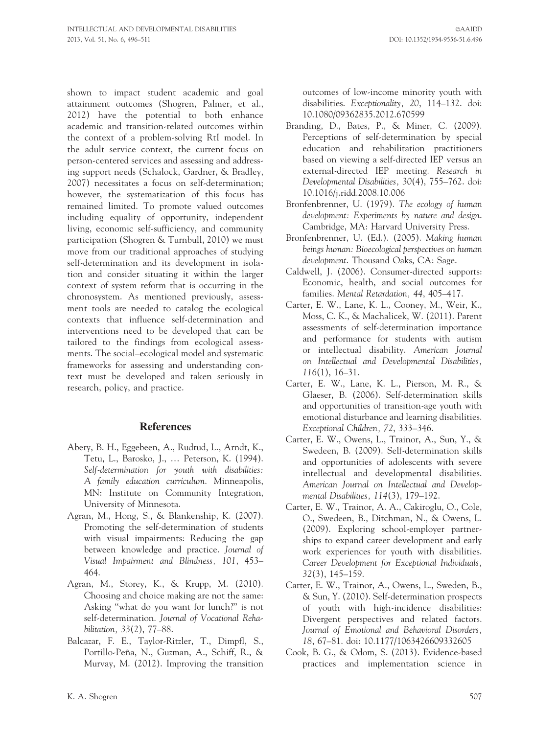shown to impact student academic and goal attainment outcomes (Shogren, Palmer, et al., 2012) have the potential to both enhance academic and transition-related outcomes within the context of a problem-solving RtI model. In the adult service context, the current focus on person-centered services and assessing and addressing support needs (Schalock, Gardner, & Bradley, 2007) necessitates a focus on self-determination; however, the systematization of this focus has remained limited. To promote valued outcomes including equality of opportunity, independent living, economic self-sufficiency, and community participation (Shogren & Turnbull, 2010) we must move from our traditional approaches of studying self-determination and its development in isolation and consider situating it within the larger context of system reform that is occurring in the chronosystem. As mentioned previously, assessment tools are needed to catalog the ecological contexts that influence self-determination and interventions need to be developed that can be tailored to the findings from ecological assessments. The social–ecological model and systematic frameworks for assessing and understanding context must be developed and taken seriously in research, policy, and practice.

#### References

- Abery, B. H., Eggebeen, A., Rudrud, L., Arndt, K., Tetu, L., Barosko, J., … Peterson, K. (1994). Self-determination for youth with disabilities: A family education curriculum. Minneapolis, MN: Institute on Community Integration, University of Minnesota.
- Agran, M., Hong, S., & Blankenship, K. (2007). Promoting the self-determination of students with visual impairments: Reducing the gap between knowledge and practice. Journal of Visual Impairment and Blindness, 101, 453– 464.
- Agran, M., Storey, K., & Krupp, M. (2010). Choosing and choice making are not the same: Asking ''what do you want for lunch?'' is not self-determination. Journal of Vocational Rehabilitation, 33(2), 77–88.
- Balcazar, F. E., Taylor-Ritzler, T., Dimpfl, S., Portillo-Peña, N., Guzman, A., Schiff, R., & Murvay, M. (2012). Improving the transition

outcomes of low-income minority youth with disabilities. Exceptionality, 20, 114–132. doi: 10.1080/09362835.2012.670599

- Branding, D., Bates, P., & Miner, C. (2009). Perceptions of self-determination by special education and rehabilitation practitioners based on viewing a self-directed IEP versus an external-directed IEP meeting. Research in Developmental Disabilities, 30(4), 755–762. doi: 10.1016/j.ridd.2008.10.006
- Bronfenbrenner, U. (1979). The ecology of human development: Experiments by nature and design. Cambridge, MA: Harvard University Press.
- Bronfenbrenner, U. (Ed.). (2005). Making human beings human: Bioecological perspectives on human development. Thousand Oaks, CA: Sage.
- Caldwell, J. (2006). Consumer-directed supports: Economic, health, and social outcomes for families. Mental Retardation, 44, 405–417.
- Carter, E. W., Lane, K. L., Cooney, M., Weir, K., Moss, C. K., & Machalicek, W. (2011). Parent assessments of self-determination importance and performance for students with autism or intellectual disability. American Journal on Intellectual and Developmental Disabilities, 116(1), 16–31.
- Carter, E. W., Lane, K. L., Pierson, M. R., & Glaeser, B. (2006). Self-determination skills and opportunities of transition-age youth with emotional disturbance and learning disabilities. Exceptional Children, 72, 333–346.
- Carter, E. W., Owens, L., Trainor, A., Sun, Y., & Swedeen, B. (2009). Self-determination skills and opportunities of adolescents with severe intellectual and developmental disabilities. American Journal on Intellectual and Developmental Disabilities, 114(3), 179–192.
- Carter, E. W., Trainor, A. A., Cakiroglu, O., Cole, O., Swedeen, B., Ditchman, N., & Owens, L. (2009). Exploring school-employer partnerships to expand career development and early work experiences for youth with disabilities. Career Development for Exceptional Individuals, 32(3), 145–159.
- Carter, E. W., Trainor, A., Owens, L., Sweden, B., & Sun, Y. (2010). Self-determination prospects of youth with high-incidence disabilities: Divergent perspectives and related factors. Journal of Emotional and Behavioral Disorders, 18, 67–81. doi: 10.1177/1063426609332605
- Cook, B. G., & Odom, S. (2013). Evidence-based practices and implementation science in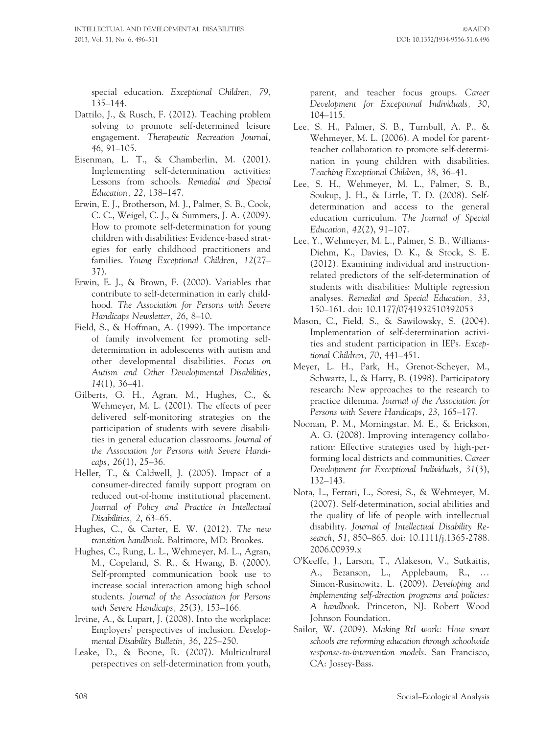special education. Exceptional Children, 79, 135–144.

- Dattilo, J., & Rusch, F. (2012). Teaching problem solving to promote self-determined leisure engagement. Therapeutic Recreation Journal, 46, 91–105.
- Eisenman, L. T., & Chamberlin, M. (2001). Implementing self-determination activities: Lessons from schools. Remedial and Special Education, 22, 138–147.
- Erwin, E. J., Brotherson, M. J., Palmer, S. B., Cook, C. C., Weigel, C. J., & Summers, J. A. (2009). How to promote self-determination for young children with disabilities: Evidence-based strategies for early childhood practitioners and families. Young Exceptional Children, 12(27– 37).
- Erwin, E. J., & Brown, F. (2000). Variables that contribute to self-determination in early childhood. The Association for Persons with Severe Handicaps Newsletter, 26, 8–10.
- Field, S., & Hoffman, A. (1999). The importance of family involvement for promoting selfdetermination in adolescents with autism and other developmental disabilities. Focus on Autism and Other Developmental Disabilities, 14(1), 36–41.
- Gilberts, G. H., Agran, M., Hughes, C., & Wehmeyer, M. L. (2001). The effects of peer delivered self-monitoring strategies on the participation of students with severe disabilities in general education classrooms. Journal of the Association for Persons with Severe Handicaps,  $26(1)$ ,  $25-36$ .
- Heller, T., & Caldwell, J. (2005). Impact of a consumer-directed family support program on reduced out-of-home institutional placement. Journal of Policy and Practice in Intellectual Disabilities, 2, 63–65.
- Hughes, C., & Carter, E. W. (2012). The new transition handbook. Baltimore, MD: Brookes.
- Hughes, C., Rung, L. L., Wehmeyer, M. L., Agran, M., Copeland, S. R., & Hwang, B. (2000). Self-prompted communication book use to increase social interaction among high school students. Journal of the Association for Persons with Severe Handicaps, 25(3), 153–166.
- Irvine, A., & Lupart, J. (2008). Into the workplace: Employers' perspectives of inclusion. Developmental Disability Bulletin, 36, 225–250.
- Leake, D., & Boone, R. (2007). Multicultural perspectives on self-determination from youth,

parent, and teacher focus groups. Career Development for Exceptional Individuals, 30, 104–115.

- Lee, S. H., Palmer, S. B., Turnbull, A. P., & Wehmeyer, M. L. (2006). A model for parentteacher collaboration to promote self-determination in young children with disabilities. Teaching Exceptional Children, 38, 36–41.
- Lee, S. H., Wehmeyer, M. L., Palmer, S. B., Soukup, J. H., & Little, T. D. (2008). Selfdetermination and access to the general education curriculum. The Journal of Special Education, 42(2), 91–107.
- Lee, Y., Wehmeyer, M. L., Palmer, S. B., Williams-Diehm, K., Davies, D. K., & Stock, S. E. (2012). Examining individual and instructionrelated predictors of the self-determination of students with disabilities: Multiple regression analyses. Remedial and Special Education, 33, 150–161. doi: 10.1177/0741932510392053
- Mason, C., Field, S., & Sawilowsky, S. (2004). Implementation of self-determination activities and student participation in IEPs. Exceptional Children, 70, 441–451.
- Meyer, L. H., Park, H., Grenot-Scheyer, M., Schwartz, I., & Harry, B. (1998). Participatory research: New approaches to the research to practice dilemma. Journal of the Association for Persons with Severe Handicaps, 23, 165–177.
- Noonan, P. M., Morningstar, M. E., & Erickson, A. G. (2008). Improving interagency collaboration: Effective strategies used by high-performing local districts and communities. Career Development for Exceptional Individuals, 31(3), 132–143.
- Nota, L., Ferrari, L., Soresi, S., & Wehmeyer, M. (2007). Self-determination, social abilities and the quality of life of people with intellectual disability. Journal of Intellectual Disability Research, 51, 850–865. doi: 10.1111/j.1365-2788. 2006.00939.x
- O'Keeffe, J., Larson, T., Alakeson, V., Sutkaitis, A., Bezanson, L., Applebaum, R., … Simon-Rusinowitz, L. (2009). Developing and implementing self-direction programs and policies: A handbook. Princeton, NJ: Robert Wood Johnson Foundation.
- Sailor, W. (2009). Making RtI work: How smart schools are reforming education through schoolwide response-to-intervention models. San Francisco, CA: Jossey-Bass.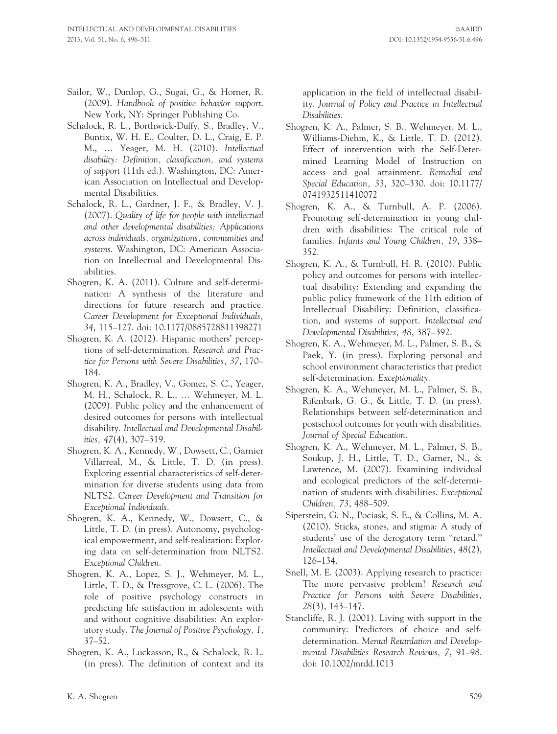- Sailor, W., Dunlop, G., Sugai, G., & Horner, R. (2009). Handbook of positive behavior support. New York, NY: Springer Publishing Co.
- Schalock, R. L., Borthwick-Duffy, S., Bradley, V., Buntix, W. H. E., Coulter, D. L., Craig, E. P. M., … Yeager, M. H. (2010). Intellectual disability: Definition, classification, and systems of support (11th ed.). Washington, DC: American Association on Intellectual and Developmental Disabilities.
- Schalock, R. L., Gardner, J. F., & Bradley, V. J. (2007). Quality of life for people with intellectual and other developmental disabilities: Applications across individuals, organizations, communities and systems. Washington, DC: American Association on Intellectual and Developmental Disabilities.
- Shogren, K. A. (2011). Culture and self-determination: A synthesis of the literature and directions for future research and practice. Career Development for Exceptional Individuals, 34, 115–127. doi: 10.1177/0885728811398271
- Shogren, K. A. (2012). Hispanic mothers' perceptions of self-determination. Research and Practice for Persons with Severe Disabilities, 37, 170– 184.
- Shogren, K. A., Bradley, V., Gomez, S. C., Yeager, M. H., Schalock, R. L., … Wehmeyer, M. L. (2009). Public policy and the enhancement of desired outcomes for persons with intellectual disability. Intellectual and Developmental Disabilities, 47(4), 307–319.
- Shogren, K. A., Kennedy, W., Dowsett, C., Garnier Villarreal, M., & Little, T. D. (in press). Exploring essential characteristics of self-determination for diverse students using data from NLTS2. Career Development and Transition for Exceptional Individuals.
- Shogren, K. A., Kennedy, W., Dowsett, C., & Little, T. D. (in press). Autonomy, psychological empowerment, and self-realization: Exploring data on self-determination from NLTS2. Exceptional Children.
- Shogren, K. A., Lopez, S. J., Wehmeyer, M. L., Little, T. D., & Pressgrove, C. L. (2006). The role of positive psychology constructs in predicting life satisfaction in adolescents with and without cognitive disabilities: An exploratory study. The Journal of Positive Psychology, 1, 37–52.
- Shogren, K. A., Luckasson, R., & Schalock, R. L. (in press). The definition of context and its

application in the field of intellectual disability. Journal of Policy and Practice in Intellectual Disabilities.

- Shogren, K. A., Palmer, S. B., Wehmeyer, M. L., Williams-Diehm, K., & Little, T. D. (2012). Effect of intervention with the Self-Determined Learning Model of Instruction on access and goal attainment. Remedial and Special Education, 33, 320–330. doi: 10.1177/ 0741932511410072
- Shogren, K. A., & Turnbull, A. P. (2006). Promoting self-determination in young children with disabilities: The critical role of families. Infants and Young Children, 19, 338– 352.
- Shogren, K. A., & Turnbull, H. R. (2010). Public policy and outcomes for persons with intellectual disability: Extending and expanding the public policy framework of the 11th edition of Intellectual Disability: Definition, classification, and systems of support. Intellectual and Developmental Disabilities, 48, 387–392.
- Shogren, K. A., Wehmeyer, M. L., Palmer, S. B., & Paek, Y. (in press). Exploring personal and school environment characteristics that predict self-determination. Exceptionality.
- Shogren, K. A., Wehmeyer, M. L., Palmer, S. B., Rifenbark, G. G., & Little, T. D. (in press). Relationships between self-determination and postschool outcomes for youth with disabilities. Journal of Special Education.
- Shogren, K. A., Wehmeyer, M. L., Palmer, S. B., Soukup, J. H., Little, T. D., Garner, N., & Lawrence, M. (2007). Examining individual and ecological predictors of the self-determination of students with disabilities. Exceptional Children, 73, 488–509.
- Siperstein, G. N., Pociask, S. E., & Collins, M. A. (2010). Sticks, stones, and stigma: A study of students' use of the derogatory term ''retard.'' Intellectual and Developmental Disabilities, 48(2), 126–134.
- Snell, M. E. (2003). Applying research to practice: The more pervasive problem? Research and Practice for Persons with Severe Disabilities, 28(3), 143–147.
- Stancliffe, R. J. (2001). Living with support in the community: Predictors of choice and selfdetermination. Mental Retardation and Developmental Disabilities Research Reviews, 7, 91–98. doi: 10.1002/mrdd.1013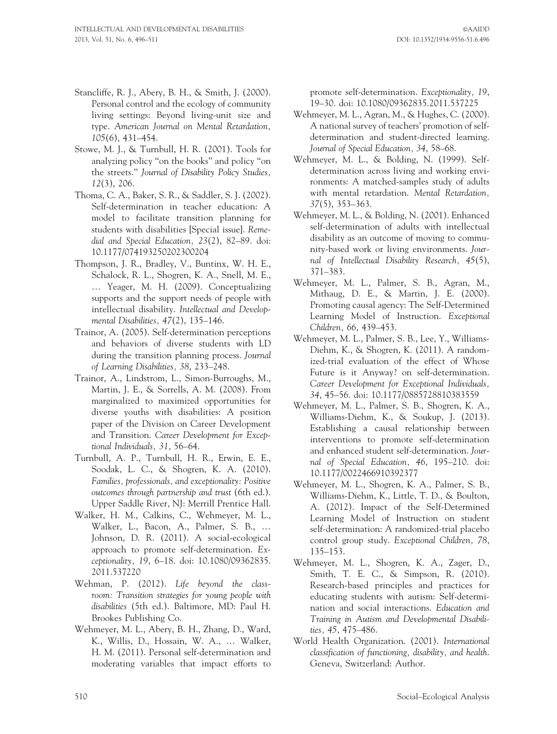- Stancliffe, R. J., Abery, B. H., & Smith, J. (2000). Personal control and the ecology of community living settings: Beyond living-unit size and type. American Journal on Mental Retardation, 105(6), 431–454.
- Stowe, M. J., & Turnbull, H. R. (2001). Tools for analyzing policy ''on the books'' and policy ''on the streets.'' Journal of Disability Policy Studies, 12(3), 206.
- Thoma, C. A., Baker, S. R., & Saddler, S. J. (2002). Self-determination in teacher education: A model to facilitate transition planning for students with disabilities [Special issue]. Remedial and Special Education, 23(2), 82–89. doi: 10.1177/074193250202300204
- Thompson, J. R., Bradley, V., Buntinx, W. H. E., Schalock, R. L., Shogren, K. A., Snell, M. E., … Yeager, M. H. (2009). Conceptualizing supports and the support needs of people with intellectual disability. Intellectual and Developmental Disabilities, 47(2), 135–146.
- Trainor, A. (2005). Self-determination perceptions and behaviors of diverse students with LD during the transition planning process. Journal of Learning Disabilities, 38, 233–248.
- Trainor, A., Lindstrom, L., Simon-Burroughs, M., Martin, J. E., & Sorrells, A. M. (2008). From marginalized to maximized opportunities for diverse youths with disabilities: A position paper of the Division on Career Development and Transition. Career Development for Exceptional Individuals, 31, 56–64.
- Turnbull, A. P., Turnbull, H. R., Erwin, E. E., Soodak, L. C., & Shogren, K. A. (2010). Families, professionals, and exceptionality: Positive outcomes through partnership and trust (6th ed.). Upper Saddle River, NJ: Merrill Prentice Hall.
- Walker, H. M., Calkins, C., Wehmeyer, M. L., Walker, L., Bacon, A., Palmer, S. B., … Johnson, D. R. (2011). A social-ecological approach to promote self-determination. Exceptionality, 19, 6–18. doi: 10.1080/09362835. 2011.537220
- Wehman, P. (2012). Life beyond the classroom: Transition strategies for young people with disabilities (5th ed.). Baltimore, MD: Paul H. Brookes Publishing Co.
- Wehmeyer, M. L., Abery, B. H., Zhang, D., Ward, K., Willis, D., Hossain, W. A., … Walker, H. M. (2011). Personal self-determination and moderating variables that impact efforts to

promote self-determination. Exceptionality, 19, 19–30. doi: 10.1080/09362835.2011.537225

- Wehmeyer, M. L., Agran, M., & Hughes, C. (2000). A national survey of teachers' promotion of selfdetermination and student-directed learning. Journal of Special Education, 34, 58–68.
- Wehmeyer, M. L., & Bolding, N. (1999). Selfdetermination across living and working environments: A matched-samples study of adults with mental retardation. Mental Retardation, 37(5), 353–363.
- Wehmeyer, M. L., & Bolding, N. (2001). Enhanced self-determination of adults with intellectual disability as an outcome of moving to community-based work or living environments. Journal of Intellectual Disability Research, 45(5), 371–383.
- Wehmeyer, M. L., Palmer, S. B., Agran, M., Mithaug, D. E., & Martin, J. E. (2000). Promoting causal agency: The Self-Determined Learning Model of Instruction. Exceptional Children, 66, 439–453.
- Wehmeyer, M. L., Palmer, S. B., Lee, Y., Williams-Diehm, K., & Shogren, K. (2011). A randomized-trial evaluation of the effect of Whose Future is it Anyway? on self-determination. Career Development for Exceptional Individuals, 34, 45–56. doi: 10.1177/0885728810383559
- Wehmeyer, M. L., Palmer, S. B., Shogren, K. A., Williams-Diehm, K., & Soukup, J. (2013). Establishing a causal relationship between interventions to promote self-determination and enhanced student self-determination. Journal of Special Education, 46, 195–210. doi: 10.1177/0022466910392377
- Wehmeyer, M. L., Shogren, K. A., Palmer, S. B., Williams-Diehm, K., Little, T. D., & Boulton, A. (2012). Impact of the Self-Determined Learning Model of Instruction on student self-determination: A randomized-trial placebo control group study. Exceptional Children, 78, 135–153.
- Wehmeyer, M. L., Shogren, K. A., Zager, D., Smith, T. E. C., & Simpson, R. (2010). Research-based principles and practices for educating students with autism: Self-determination and social interactions. Education and Training in Autism and Developmental Disabilities, 45, 475–486.
- World Health Organization. (2001). International classification of functioning, disability, and health. Geneva, Switzerland: Author.